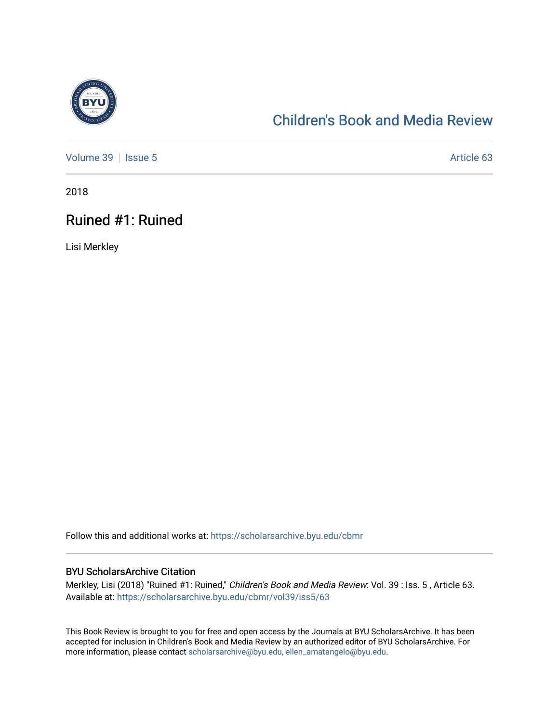

# [Children's Book and Media Review](https://scholarsarchive.byu.edu/cbmr)

[Volume 39](https://scholarsarchive.byu.edu/cbmr/vol39) | [Issue 5](https://scholarsarchive.byu.edu/cbmr/vol39/iss5) Article 63

2018

### Ruined #1: Ruined

Lisi Merkley

Follow this and additional works at: [https://scholarsarchive.byu.edu/cbmr](https://scholarsarchive.byu.edu/cbmr?utm_source=scholarsarchive.byu.edu%2Fcbmr%2Fvol39%2Fiss5%2F63&utm_medium=PDF&utm_campaign=PDFCoverPages) 

#### BYU ScholarsArchive Citation

Merkley, Lisi (2018) "Ruined #1: Ruined," Children's Book and Media Review: Vol. 39 : Iss. 5, Article 63. Available at: [https://scholarsarchive.byu.edu/cbmr/vol39/iss5/63](https://scholarsarchive.byu.edu/cbmr/vol39/iss5/63?utm_source=scholarsarchive.byu.edu%2Fcbmr%2Fvol39%2Fiss5%2F63&utm_medium=PDF&utm_campaign=PDFCoverPages)

This Book Review is brought to you for free and open access by the Journals at BYU ScholarsArchive. It has been accepted for inclusion in Children's Book and Media Review by an authorized editor of BYU ScholarsArchive. For more information, please contact [scholarsarchive@byu.edu, ellen\\_amatangelo@byu.edu.](mailto:scholarsarchive@byu.edu,%20ellen_amatangelo@byu.edu)